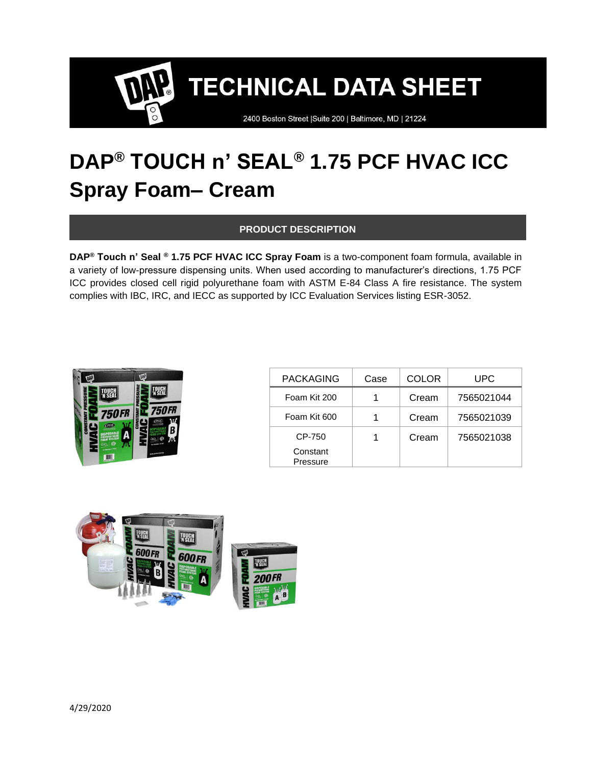2400 Boston Street | Suite 200 | Baltimore, MD | 21224

### **DAP® TOUCH n' SEAL® 1.75 PCF HVAC ICC Spray Foam– Cream**

#### **PRODUCT DESCRIPTION**

**DAP® Touch n' Seal ® 1.75 PCF HVAC ICC Spray Foam** is a two-component foam formula, available in a variety of low-pressure dispensing units. When used according to manufacturer's directions, 1.75 PCF ICC provides closed cell rigid polyurethane foam with ASTM E-84 Class A fire resistance. The system complies with IBC, IRC, and IECC as supported by ICC Evaluation Services listing ESR-3052.



| <b>PACKAGING</b>     | Case | <b>COLOR</b> | <b>UPC</b> |
|----------------------|------|--------------|------------|
| Foam Kit 200         |      | Cream        | 7565021044 |
| Foam Kit 600         |      | Cream        | 7565021039 |
| CP-750               |      | Cream        | 7565021038 |
| Constant<br>Pressure |      |              |            |

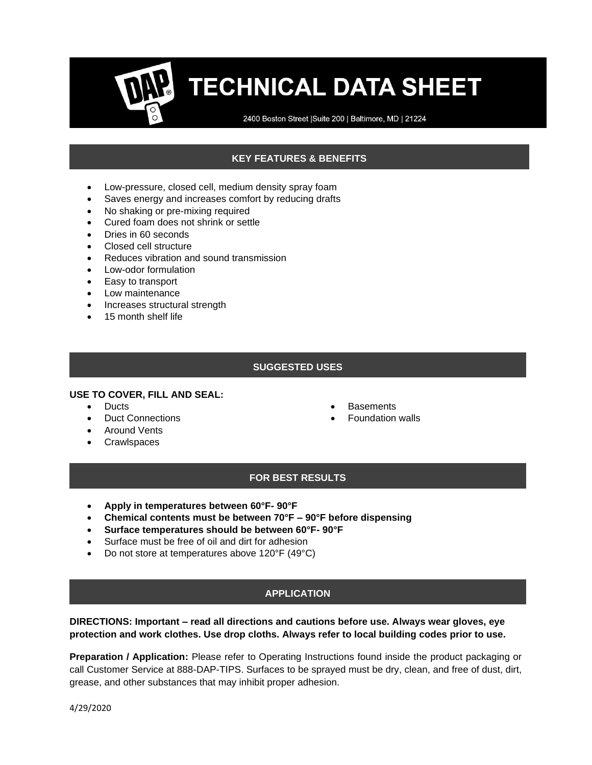2400 Boston Street | Suite 200 | Baltimore, MD | 21224

#### **KEY FEATURES & BENEFITS**

- Low-pressure, closed cell, medium density spray foam
- Saves energy and increases comfort by reducing drafts
- No shaking or pre-mixing required
- Cured foam does not shrink or settle
- Dries in 60 seconds
- Closed cell structure
- Reduces vibration and sound transmission
- Low-odor formulation
- Easy to transport
- Low maintenance
- Increases structural strength
- 15 month shelf life

#### **SUGGESTED USES**

#### **USE TO COVER, FILL AND SEAL:**

- Ducts
- Duct Connections
- Around Vents
- Crawlspaces
- **Basements**
- Foundation walls

#### **FOR BEST RESULTS**

- **Apply in temperatures between 60°F- 90°F**
- **Chemical contents must be between 70°F – 90°F before dispensing**
- **Surface temperatures should be between 60°F- 90°F**
- Surface must be free of oil and dirt for adhesion
- Do not store at temperatures above 120°F (49°C)

#### **APPLICATION**

#### **DIRECTIONS: Important – read all directions and cautions before use. Always wear gloves, eye protection and work clothes. Use drop cloths. Always refer to local building codes prior to use.**

**Preparation / Application:** Please refer to Operating Instructions found inside the product packaging or call Customer Service at 888-DAP-TIPS. Surfaces to be sprayed must be dry, clean, and free of dust, dirt, grease, and other substances that may inhibit proper adhesion.

4/29/2020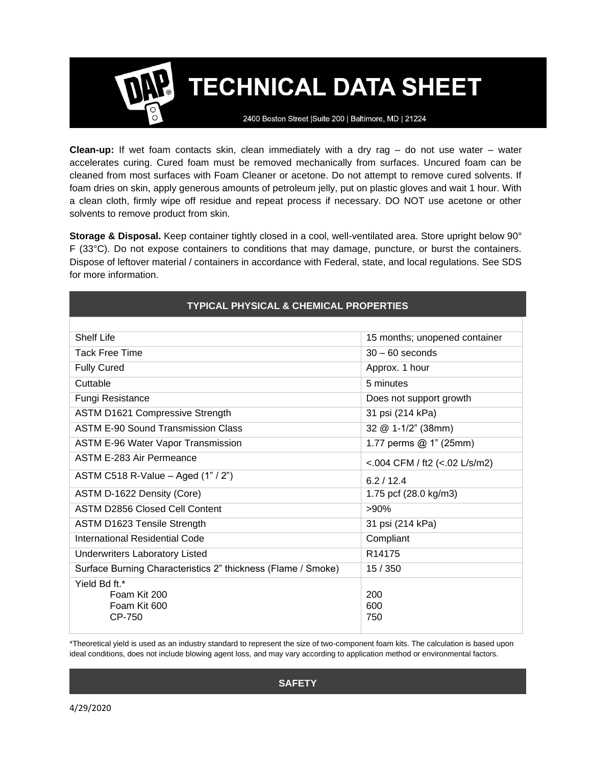2400 Boston Street | Suite 200 | Baltimore, MD | 21224

**Clean-up:** If wet foam contacts skin, clean immediately with a dry rag – do not use water – water accelerates curing. Cured foam must be removed mechanically from surfaces. Uncured foam can be cleaned from most surfaces with Foam Cleaner or acetone. Do not attempt to remove cured solvents. If foam dries on skin, apply generous amounts of petroleum jelly, put on plastic gloves and wait 1 hour. With a clean cloth, firmly wipe off residue and repeat process if necessary. DO NOT use acetone or other solvents to remove product from skin.

**Storage & Disposal.** Keep container tightly closed in a cool, well-ventilated area. Store upright below 90° F (33°C). Do not expose containers to conditions that may damage, puncture, or burst the containers. Dispose of leftover material / containers in accordance with Federal, state, and local regulations. See SDS for more information.

| <b>TYPICAL PHYSICAL &amp; CHEMICAL PROPERTIES</b>            |                               |  |  |
|--------------------------------------------------------------|-------------------------------|--|--|
|                                                              |                               |  |  |
| Shelf Life                                                   | 15 months; unopened container |  |  |
| <b>Tack Free Time</b>                                        | $30 - 60$ seconds             |  |  |
| <b>Fully Cured</b>                                           | Approx. 1 hour                |  |  |
| Cuttable                                                     | 5 minutes                     |  |  |
| Fungi Resistance                                             | Does not support growth       |  |  |
| <b>ASTM D1621 Compressive Strength</b>                       | 31 psi (214 kPa)              |  |  |
| <b>ASTM E-90 Sound Transmission Class</b>                    | 32 @ 1-1/2" (38mm)            |  |  |
| <b>ASTM E-96 Water Vapor Transmission</b>                    | 1.77 perms $@1" (25mm)$       |  |  |
| ASTM E-283 Air Permeance                                     | <.004 CFM / ft2 (<.02 L/s/m2) |  |  |
| ASTM C518 R-Value - Aged (1" / 2")                           | 6.2/12.4                      |  |  |
| ASTM D-1622 Density (Core)                                   | 1.75 pcf (28.0 kg/m3)         |  |  |
| <b>ASTM D2856 Closed Cell Content</b>                        | $>90\%$                       |  |  |
| ASTM D1623 Tensile Strength                                  | 31 psi (214 kPa)              |  |  |
| International Residential Code                               | Compliant                     |  |  |
| <b>Underwriters Laboratory Listed</b>                        | R <sub>14175</sub>            |  |  |
| Surface Burning Characteristics 2" thickness (Flame / Smoke) | 15/350                        |  |  |
| Yield Bd ft.*<br>Foam Kit 200<br>Foam Kit 600<br>CP-750      | 200<br>600<br>750             |  |  |

\*Theoretical yield is used as an industry standard to represent the size of two-component foam kits. The calculation is based upon ideal conditions, does not include blowing agent loss, and may vary according to application method or environmental factors.

**SAFETY**